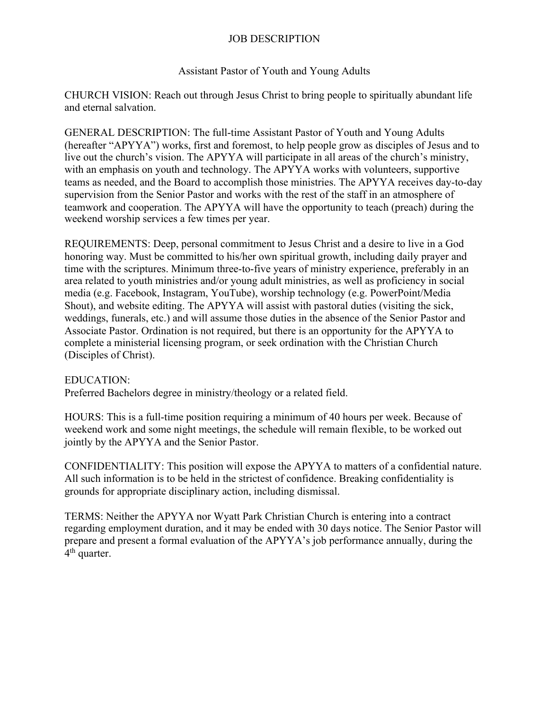## JOB DESCRIPTION

## Assistant Pastor of Youth and Young Adults

CHURCH VISION: Reach out through Jesus Christ to bring people to spiritually abundant life and eternal salvation.

GENERAL DESCRIPTION: The full-time Assistant Pastor of Youth and Young Adults (hereafter "APYYA") works, first and foremost, to help people grow as disciples of Jesus and to live out the church's vision. The APYYA will participate in all areas of the church's ministry, with an emphasis on youth and technology. The APYYA works with volunteers, supportive teams as needed, and the Board to accomplish those ministries. The APYYA receives day-to-day supervision from the Senior Pastor and works with the rest of the staff in an atmosphere of teamwork and cooperation. The APYYA will have the opportunity to teach (preach) during the weekend worship services a few times per year.

REQUIREMENTS: Deep, personal commitment to Jesus Christ and a desire to live in a God honoring way. Must be committed to his/her own spiritual growth, including daily prayer and time with the scriptures. Minimum three-to-five years of ministry experience, preferably in an area related to youth ministries and/or young adult ministries, as well as proficiency in social media (e.g. Facebook, Instagram, YouTube), worship technology (e.g. PowerPoint/Media Shout), and website editing. The APYYA will assist with pastoral duties (visiting the sick, weddings, funerals, etc.) and will assume those duties in the absence of the Senior Pastor and Associate Pastor. Ordination is not required, but there is an opportunity for the APYYA to complete a ministerial licensing program, or seek ordination with the Christian Church (Disciples of Christ).

## EDUCATION:

Preferred Bachelors degree in ministry/theology or a related field.

HOURS: This is a full-time position requiring a minimum of 40 hours per week. Because of weekend work and some night meetings, the schedule will remain flexible, to be worked out jointly by the APYYA and the Senior Pastor.

CONFIDENTIALITY: This position will expose the APYYA to matters of a confidential nature. All such information is to be held in the strictest of confidence. Breaking confidentiality is grounds for appropriate disciplinary action, including dismissal.

TERMS: Neither the APYYA nor Wyatt Park Christian Church is entering into a contract regarding employment duration, and it may be ended with 30 days notice. The Senior Pastor will prepare and present a formal evaluation of the APYYA's job performance annually, during the 4<sup>th</sup> quarter.